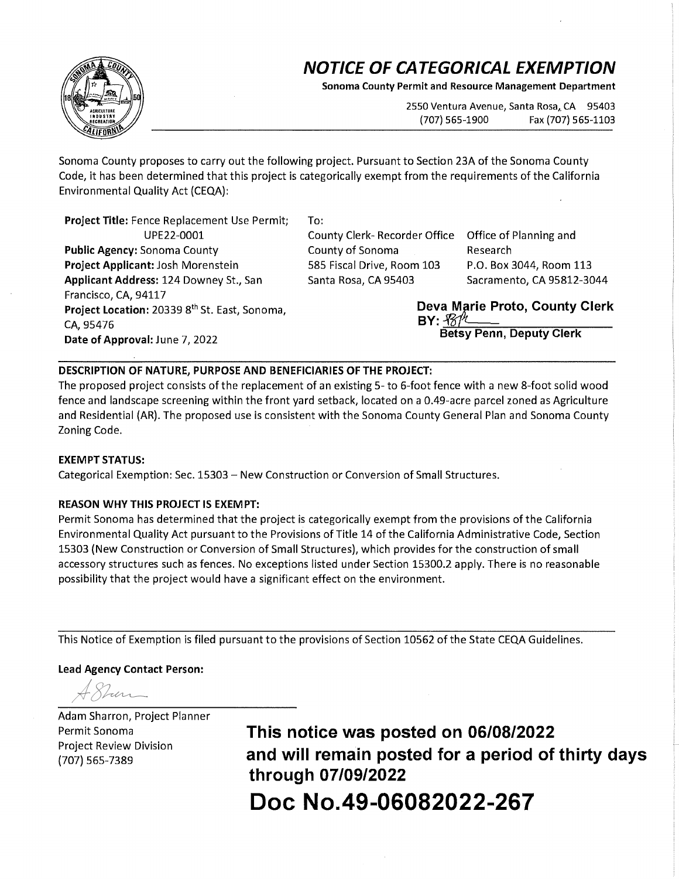# **NOTICE OF CATEGORICAL EXEMPTION**

**Sonoma County Permit and Resource Management Department** 

2550 Ventura Avenue, Santa Rosa, CA 95403 (707) 565-1900 Fax (707) 565-1103

Sonoma County proposes to carry out the following project. Pursuant to Section 23A of the Sonoma County Code, it has been determined that this project is categorically exempt from the requirements of the California Environmental Quality Act (CEQA):

**Project Title:** Fence Replacement Use Permit; To: UPE22-0001 County Clerk- Recorder Office Office of Planning and **Public Agency:** Sonoma County **County of Sonoma** Research **Project Applicant:** Josh Morenstein 585 Fiscal Drive, Room 103 P.O. Box 3044, Room 113 Applicant Address: 124 Downey St., San Santa Rosa, CA 95403 Sacramento, CA 95812-3044 Francisco, CA, 94117 **Project Location:** 20339 8<sup>th</sup> St. East, Sonoma, **Deva Marie Proto, County Clerk CA** 95476 CA, 95476 **BY:**  $\frac{R}{B}$ **CA, 95476**<br>**Date of Approval:** June 7, 2022

Betsy Penn, Deputy Clerk

## **DESCRIPTION OF NATURE, PURPOSE AND BENEFICIARIES OF THE PROJECT:**

The proposed project consists of the replacement of an existing 5- to 6-foot fence with a new 8-foot solid wood fence and landscape screening within the front yard setback, located on a 0.49-acre parcel zoned as Agriculture and Residential (AR). The proposed use is consistent with the Sonoma County General Plan and Sonoma County Zoning Code.

#### **EXEMPT STATUS:**

Categorical Exemption: Sec. 15303 - New Construction or Conversion of Small Structures.

#### **REASON WHY THIS PROJECT IS EXEMPT:**

Permit Sonoma has determined that the project is categorically exempt from the provisions of the California Environmental Quality Act pursuant to the Provisions of Title 14 of the California Administrative Code, Section 15303 (New Construction or Conversion of Small Structures), which provides for the construction of small accessory structures such as fences. No exceptions listed under Section 15300.2 apply. There is no reasonable possibility that the project would have a significant effect on the environment.

This Notice of Exemption is filed pursuant to the provisions of Section 10562 of the State CEQA Guidelines.

### **Lead Agency Contact Person:**

Adam Sharron, Project Planner Project Review Division

Permit Sonoma **This notice was posted on 06/08/2022**  (707) 565-7389 **and will remain posted for a period of thirty days through 07/09/2022 Doc No.49-06082022-267**